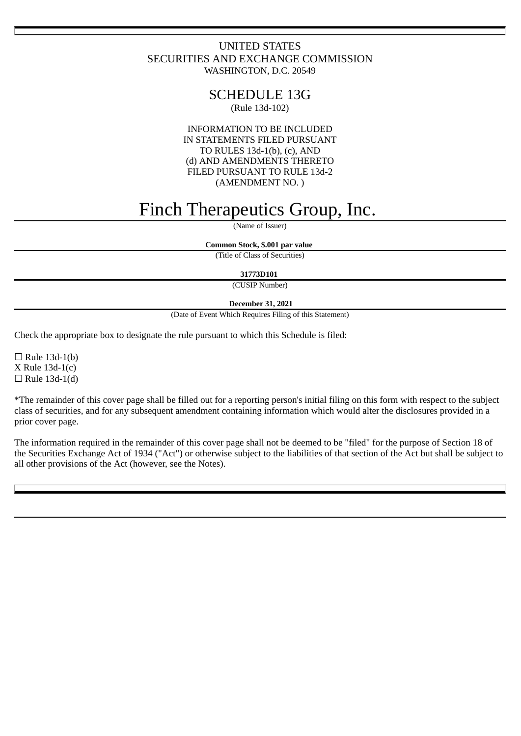## UNITED STATES SECURITIES AND EXCHANGE COMMISSION WASHINGTON, D.C. 20549

## SCHEDULE 13G

(Rule 13d-102)

INFORMATION TO BE INCLUDED IN STATEMENTS FILED PURSUANT TO RULES 13d-1(b), (c), AND (d) AND AMENDMENTS THERETO FILED PURSUANT TO RULE 13d-2 (AMENDMENT NO. )

# Finch Therapeutics Group, Inc.

(Name of Issuer)

**Common Stock, \$.001 par value**

(Title of Class of Securities)

**31773D101**

(CUSIP Number)

## **December 31, 2021**

(Date of Event Which Requires Filing of this Statement)

Check the appropriate box to designate the rule pursuant to which this Schedule is filed:

 $\Box$  Rule 13d-1(b) X Rule 13d-1(c)  $\Box$  Rule 13d-1(d)

\*The remainder of this cover page shall be filled out for a reporting person's initial filing on this form with respect to the subject class of securities, and for any subsequent amendment containing information which would alter the disclosures provided in a prior cover page.

The information required in the remainder of this cover page shall not be deemed to be "filed" for the purpose of Section 18 of the Securities Exchange Act of 1934 ("Act") or otherwise subject to the liabilities of that section of the Act but shall be subject to all other provisions of the Act (however, see the Notes).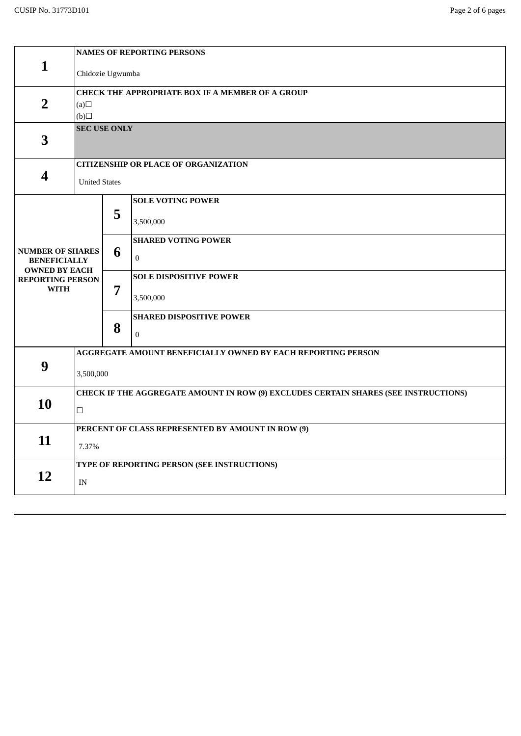|                                                 | <b>NAMES OF REPORTING PERSONS</b>                                                   |   |                                 |  |
|-------------------------------------------------|-------------------------------------------------------------------------------------|---|---------------------------------|--|
| $\mathbf{1}$                                    | Chidozie Ugwumba                                                                    |   |                                 |  |
|                                                 | <b>CHECK THE APPROPRIATE BOX IF A MEMBER OF A GROUP</b>                             |   |                                 |  |
| $\overline{2}$                                  | (a)                                                                                 |   |                                 |  |
|                                                 | (b)                                                                                 |   |                                 |  |
|                                                 | <b>SEC USE ONLY</b>                                                                 |   |                                 |  |
| 3                                               |                                                                                     |   |                                 |  |
|                                                 |                                                                                     |   |                                 |  |
|                                                 | <b>CITIZENSHIP OR PLACE OF ORGANIZATION</b>                                         |   |                                 |  |
| 4                                               | <b>United States</b>                                                                |   |                                 |  |
|                                                 |                                                                                     |   | <b>SOLE VOTING POWER</b>        |  |
|                                                 |                                                                                     | 5 |                                 |  |
|                                                 |                                                                                     |   | 3,500,000                       |  |
|                                                 |                                                                                     | 6 | <b>SHARED VOTING POWER</b>      |  |
| <b>NUMBER OF SHARES</b>                         |                                                                                     |   |                                 |  |
| <b>BENEFICIALLY</b>                             |                                                                                     | 7 | $\overline{0}$                  |  |
| <b>OWNED BY EACH</b><br><b>REPORTING PERSON</b> |                                                                                     |   | <b>SOLE DISPOSITIVE POWER</b>   |  |
| <b>WITH</b>                                     |                                                                                     |   |                                 |  |
|                                                 |                                                                                     |   | 3,500,000                       |  |
|                                                 |                                                                                     |   | <b>SHARED DISPOSITIVE POWER</b> |  |
|                                                 |                                                                                     | 8 |                                 |  |
|                                                 |                                                                                     |   | $\bf{0}$                        |  |
|                                                 | AGGREGATE AMOUNT BENEFICIALLY OWNED BY EACH REPORTING PERSON                        |   |                                 |  |
| 9                                               |                                                                                     |   |                                 |  |
|                                                 | 3,500,000                                                                           |   |                                 |  |
| 10                                              | CHECK IF THE AGGREGATE AMOUNT IN ROW (9) EXCLUDES CERTAIN SHARES (SEE INSTRUCTIONS) |   |                                 |  |
|                                                 | $\Box$                                                                              |   |                                 |  |
|                                                 |                                                                                     |   |                                 |  |
| 11                                              | PERCENT OF CLASS REPRESENTED BY AMOUNT IN ROW (9)                                   |   |                                 |  |
|                                                 | 7.37%                                                                               |   |                                 |  |
| 12                                              | TYPE OF REPORTING PERSON (SEE INSTRUCTIONS)                                         |   |                                 |  |
|                                                 |                                                                                     |   |                                 |  |
|                                                 | $\ensuremath{\text{IN}}$                                                            |   |                                 |  |
|                                                 |                                                                                     |   |                                 |  |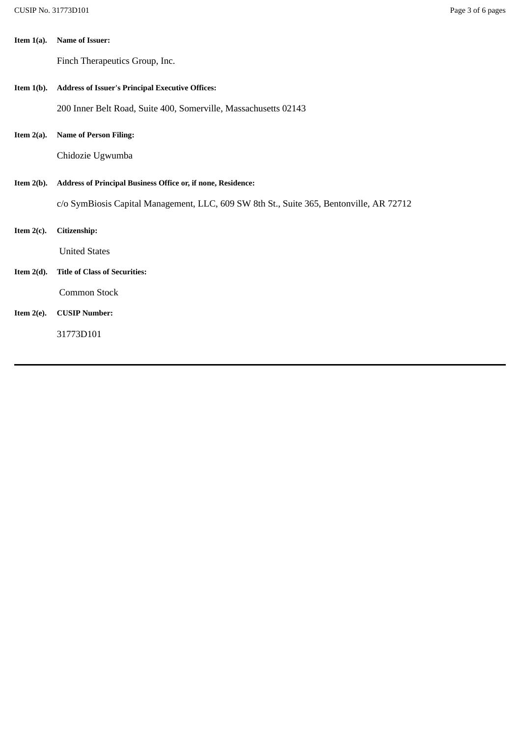| Item $1(a)$ . | <b>Name of Issuer:</b> |
|---------------|------------------------|
|               |                        |

Finch Therapeutics Group, Inc.

**Item 1(b). Address of Issuer's Principal Executive Offices:**

200 Inner Belt Road, Suite 400, Somerville, Massachusetts 02143

**Item 2(a). Name of Person Filing:**

Chidozie Ugwumba

**Item 2(b). Address of Principal Business Office or, if none, Residence:**

c/o SymBiosis Capital Management, LLC, 609 SW 8th St., Suite 365, Bentonville, AR 72712

**Item 2(c). Citizenship:**

United States

**Item 2(d). Title of Class of Securities:**

Common Stock

## **Item 2(e). CUSIP Number:**

31773D101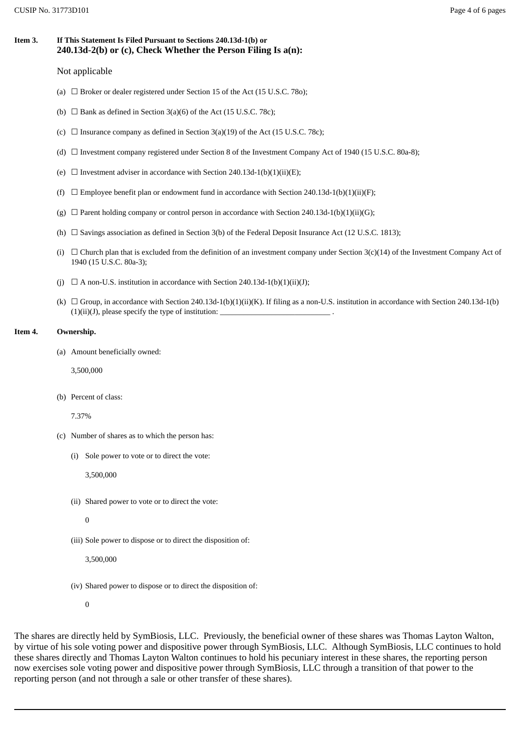## **Item 3. If This Statement Is Filed Pursuant to Sections 240.13d-1(b) or 240.13d-2(b) or (c), Check Whether the Person Filing Is a(n):**

#### Not applicable

- (a)  $\Box$  Broker or dealer registered under Section 15 of the Act (15 U.S.C. 780);
- (b)  $\Box$  Bank as defined in Section 3(a)(6) of the Act (15 U.S.C. 78c);
- (c)  $\Box$  Insurance company as defined in Section 3(a)(19) of the Act (15 U.S.C. 78c);
- (d)  $\Box$  Investment company registered under Section 8 of the Investment Company Act of 1940 (15 U.S.C. 80a-8);
- (e)  $\Box$  Investment adviser in accordance with Section 240.13d-1(b)(1)(ii)(E);
- (f)  $\Box$  Employee benefit plan or endowment fund in accordance with Section 240.13d-1(b)(1)(ii)(F);
- (g)  $\Box$  Parent holding company or control person in accordance with Section 240.13d-1(b)(1)(ii)(G);
- (h)  $\Box$  Savings association as defined in Section 3(b) of the Federal Deposit Insurance Act (12 U.S.C. 1813);
- (i)  $\Box$  Church plan that is excluded from the definition of an investment company under Section 3(c)(14) of the Investment Company Act of 1940 (15 U.S.C. 80a-3);
- (j)  $\Box$  A non-U.S. institution in accordance with Section 240.13d-1(b)(1)(ii)(J);
- (k)  $\Box$  Group, in accordance with Section 240.13d-1(b)(1)(ii)(K). If filing as a non-U.S. institution in accordance with Section 240.13d-1(b)  $(1)(ii)(J)$ , please specify the type of institution:

#### **Item 4. Ownership.**

(a) Amount beneficially owned:

3,500,000

(b) Percent of class:

7.37%

- (c) Number of shares as to which the person has:
	- (i) Sole power to vote or to direct the vote:

3,500,000

- (ii) Shared power to vote or to direct the vote:
	- $\Omega$
- (iii) Sole power to dispose or to direct the disposition of:

3,500,000

(iv) Shared power to dispose or to direct the disposition of:

0

The shares are directly held by SymBiosis, LLC. Previously, the beneficial owner of these shares was Thomas Layton Walton, by virtue of his sole voting power and dispositive power through SymBiosis, LLC. Although SymBiosis, LLC continues to hold these shares directly and Thomas Layton Walton continues to hold his pecuniary interest in these shares, the reporting person now exercises sole voting power and dispositive power through SymBiosis, LLC through a transition of that power to the reporting person (and not through a sale or other transfer of these shares).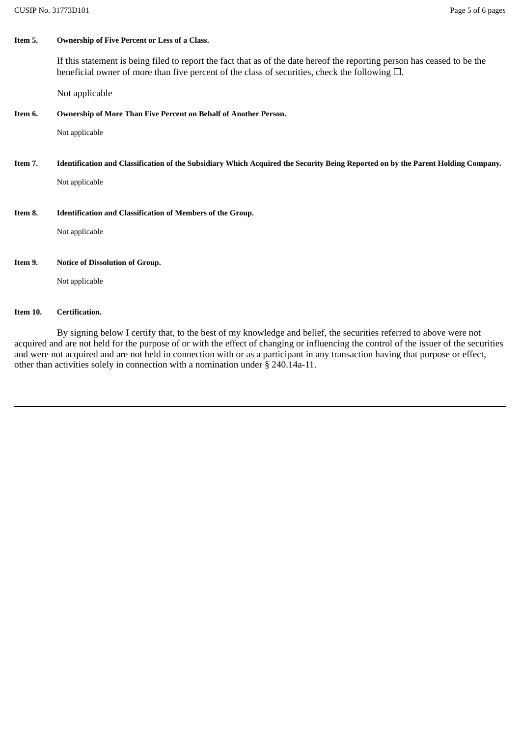### **Item 5. Ownership of Five Percent or Less of a Class.**

If this statement is being filed to report the fact that as of the date hereof the reporting person has ceased to be the beneficial owner of more than five percent of the class of securities, check the following  $\Box$ .

Not applicable

## **Item 6. Ownership of More Than Five Percent on Behalf of Another Person.**

Not applicable

Item 7. Identification and Classification of the Subsidiary Which Acquired the Security Being Reported on by the Parent Holding Company.

Not applicable

**Item 8. Identification and Classification of Members of the Group.**

Not applicable

#### **Item 9. Notice of Dissolution of Group.**

Not applicable

#### **Item 10. Certification.**

By signing below I certify that, to the best of my knowledge and belief, the securities referred to above were not acquired and are not held for the purpose of or with the effect of changing or influencing the control of the issuer of the securities and were not acquired and are not held in connection with or as a participant in any transaction having that purpose or effect, other than activities solely in connection with a nomination under § 240.14a-11.